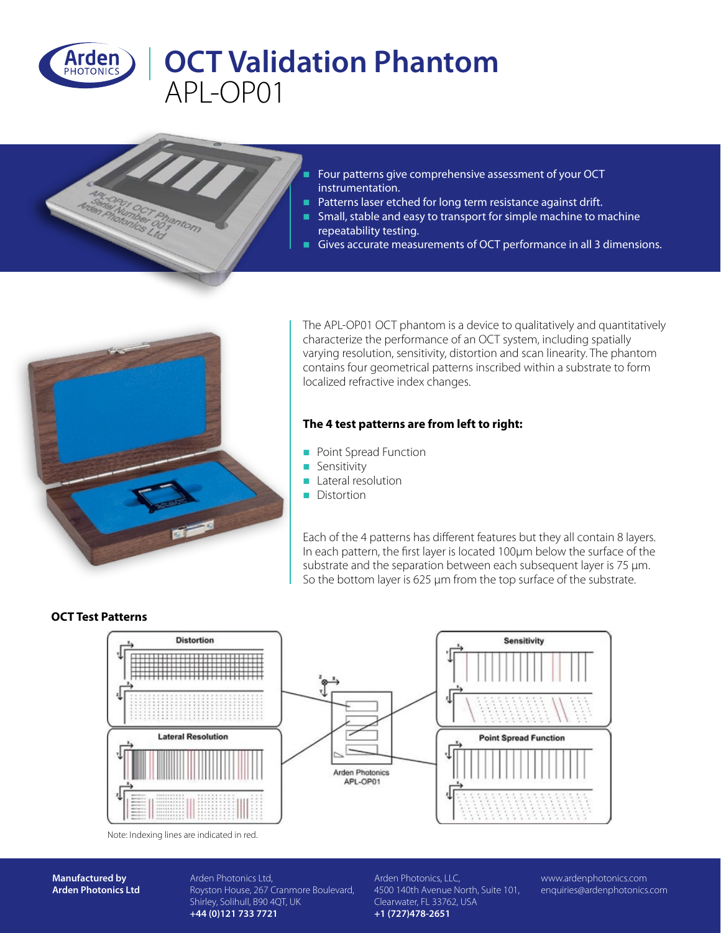

# **OCT Validation Phantom** APL-OP01



- Four patterns give comprehensive assessment of your OCT instrumentation.
- n Patterns laser etched for long term resistance against drift.
- Small, stable and easy to transport for simple machine to machine repeatability testing.
- Gives accurate measurements of OCT performance in all 3 dimensions.



The APL-OP01 OCT phantom is a device to qualitatively and quantitatively characterize the performance of an OCT system, including spatially varying resolution, sensitivity, distortion and scan linearity. The phantom contains four geometrical patterns inscribed within a substrate to form localized refractive index changes.

## **The 4 test patterns are from left to right:**

- Point Spread Function
- $\blacksquare$  Sensitivity
- **n** Lateral resolution
- **n** Distortion

Each of the 4 patterns has different features but they all contain 8 layers. In each pattern, the first layer is located 100µm below the surface of the substrate and the separation between each subsequent layer is 75 µm. So the bottom layer is 625 µm from the top surface of the substrate.

## **OCT Test Patterns**



Note: Indexing lines are indicated in red.

**Manufactured by Arden Photonics Ltd** Arden Photonics Ltd, Royston House, 267 Cranmore Boulevard, Shirley, Solihull, B90 4QT, UK **+44 (0)121 733 7721**

Arden Photonics, LLC, 4500 140th Avenue North, Suite 101, Clearwater, FL 33762, USA **+1 (727)478-2651**

www.ardenphotonics.com enquiries@ardenphotonics.com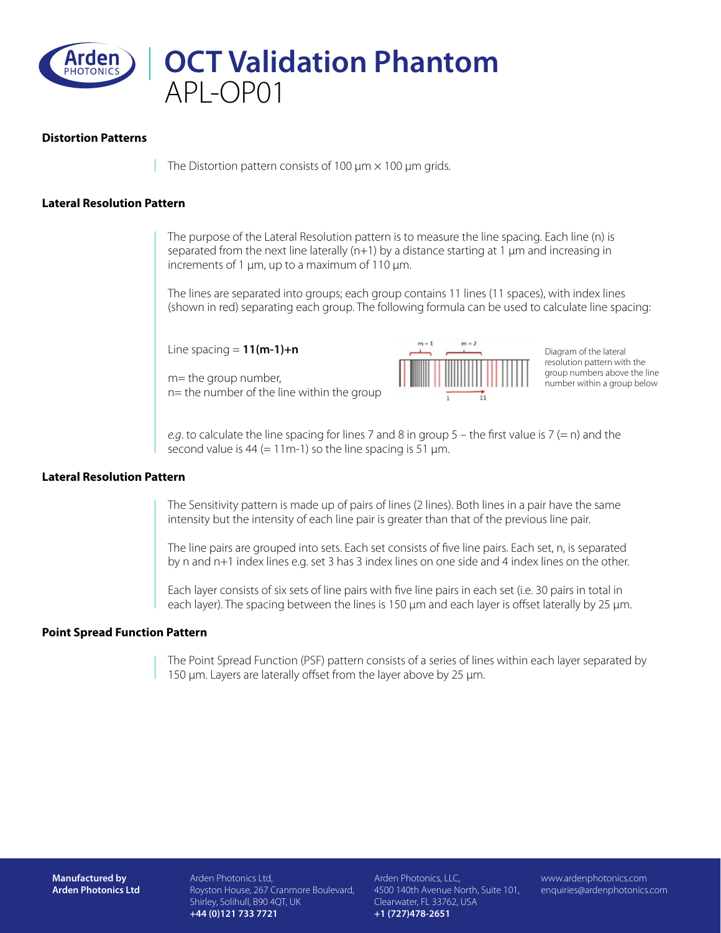

## **OCT Validation Phantom** APL-OP01

### **Distortion Patterns**

The Distortion pattern consists of 100  $\mu$ m  $\times$  100  $\mu$ m grids.

### **Lateral Resolution Pattern**

The purpose of the Lateral Resolution pattern is to measure the line spacing. Each line (n) is separated from the next line laterally  $(n+1)$  by a distance starting at 1  $\mu$ m and increasing in increments of 1  $\mu$ m, up to a maximum of 110  $\mu$ m.

The lines are separated into groups; each group contains 11 lines (11 spaces), with index lines (shown in red) separating each group. The following formula can be used to calculate line spacing:

Line spacing = **11(m-1)+n**

m= the group number, n= the number of the line within the group



Diagram of the lateral resolution pattern with the group numbers above the line number within a group below

*e.g.* to calculate the line spacing for lines 7 and 8 in group  $5 -$  the first value is 7 (= n) and the second value is  $44 (= 11m-1)$  so the line spacing is 51 µm.

#### **Lateral Resolution Pattern**

The Sensitivity pattern is made up of pairs of lines (2 lines). Both lines in a pair have the same intensity but the intensity of each line pair is greater than that of the previous line pair.

The line pairs are grouped into sets. Each set consists of five line pairs. Each set, n, is separated by n and n+1 index lines e.g. set 3 has 3 index lines on one side and 4 index lines on the other.

Each layer consists of six sets of line pairs with five line pairs in each set (i.e. 30 pairs in total in each layer). The spacing between the lines is 150  $\mu$ m and each layer is offset laterally by 25  $\mu$ m.

#### **Point Spread Function Pattern**

The Point Spread Function (PSF) pattern consists of a series of lines within each layer separated by 150 µm. Layers are laterally offset from the layer above by 25 µm.

**Manufactured by Arden Photonics Ltd** Arden Photonics Ltd, Royston House, 267 Cranmore Boulevard, Shirley, Solihull, B90 4QT, UK **+44 (0)121 733 7721**

Arden Photonics, LLC, 4500 140th Avenue North, Suite 101, Clearwater, FL 33762, USA **+1 (727)478-2651**

www.ardenphotonics.com enquiries@ardenphotonics.com